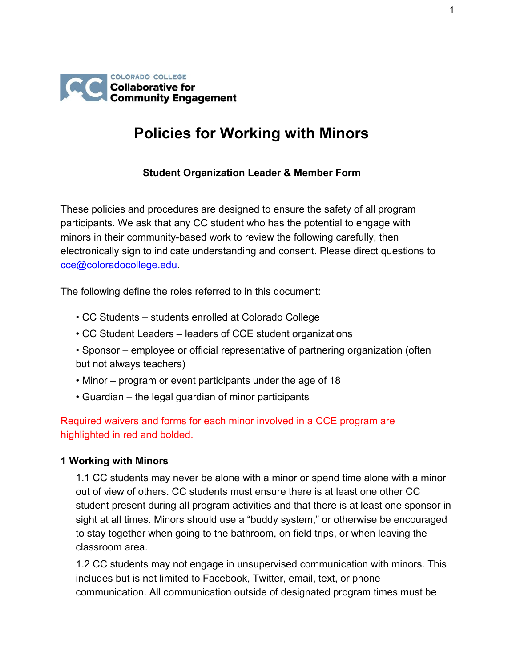

## **Policies for Working with Minors**

## **Student Organization Leader & Member Form**

These policies and procedures are designed to ensure the safety of all program participants. We ask that any CC student who has the potential to engage with minors in their community-based work to review the following carefully, then electronically sign to indicate understanding and consent. Please direct questions to cce@coloradocollege.edu.

The following define the roles referred to in this document:

- CC Students students enrolled at Colorado College
- CC Student Leaders leaders of CCE student organizations
- Sponsor employee or official representative of partnering organization (often but not always teachers)
- Minor program or event participants under the age of 18
- Guardian the legal guardian of minor participants

Required waivers and forms for each minor involved in a CCE program are highlighted in red and bolded.

#### **1 Working with Minors**

1.1 CC students may never be alone with a minor or spend time alone with a minor out of view of others. CC students must ensure there is at least one other CC student present during all program activities and that there is at least one sponsor in sight at all times. Minors should use a "buddy system," or otherwise be encouraged to stay together when going to the bathroom, on field trips, or when leaving the classroom area.

1.2 CC students may not engage in unsupervised communication with minors. This includes but is not limited to Facebook, Twitter, email, text, or phone communication. All communication outside of designated program times must be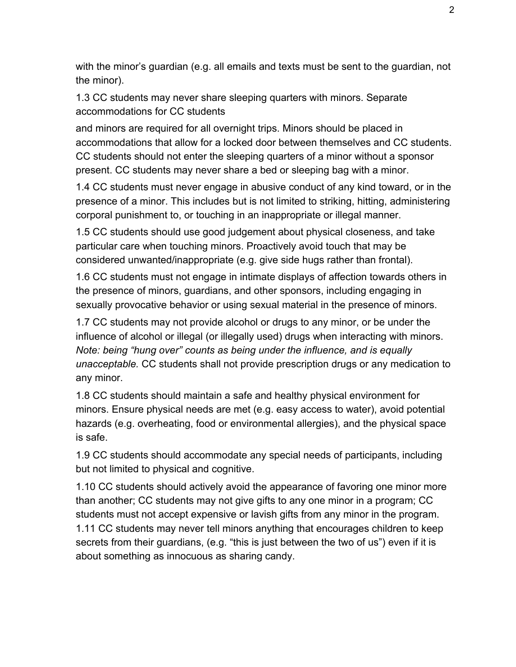with the minor's guardian (e.g. all emails and texts must be sent to the guardian, not the minor).

1.3 CC students may never share sleeping quarters with minors. Separate accommodations for CC students

and minors are required for all overnight trips. Minors should be placed in accommodations that allow for a locked door between themselves and CC students. CC students should not enter the sleeping quarters of a minor without a sponsor present. CC students may never share a bed or sleeping bag with a minor.

1.4 CC students must never engage in abusive conduct of any kind toward, or in the presence of a minor. This includes but is not limited to striking, hitting, administering corporal punishment to, or touching in an inappropriate or illegal manner.

1.5 CC students should use good judgement about physical closeness, and take particular care when touching minors. Proactively avoid touch that may be considered unwanted/inappropriate (e.g. give side hugs rather than frontal).

1.6 CC students must not engage in intimate displays of affection towards others in the presence of minors, guardians, and other sponsors, including engaging in sexually provocative behavior or using sexual material in the presence of minors.

1.7 CC students may not provide alcohol or drugs to any minor, or be under the influence of alcohol or illegal (or illegally used) drugs when interacting with minors. *Note: being "hung over" counts as being under the influence, and is equally unacceptable.* CC students shall not provide prescription drugs or any medication to any minor.

1.8 CC students should maintain a safe and healthy physical environment for minors. Ensure physical needs are met (e.g. easy access to water), avoid potential hazards (e.g. overheating, food or environmental allergies), and the physical space is safe.

1.9 CC students should accommodate any special needs of participants, including but not limited to physical and cognitive.

1.10 CC students should actively avoid the appearance of favoring one minor more than another; CC students may not give gifts to any one minor in a program; CC students must not accept expensive or lavish gifts from any minor in the program. 1.11 CC students may never tell minors anything that encourages children to keep secrets from their guardians, (e.g. "this is just between the two of us") even if it is about something as innocuous as sharing candy.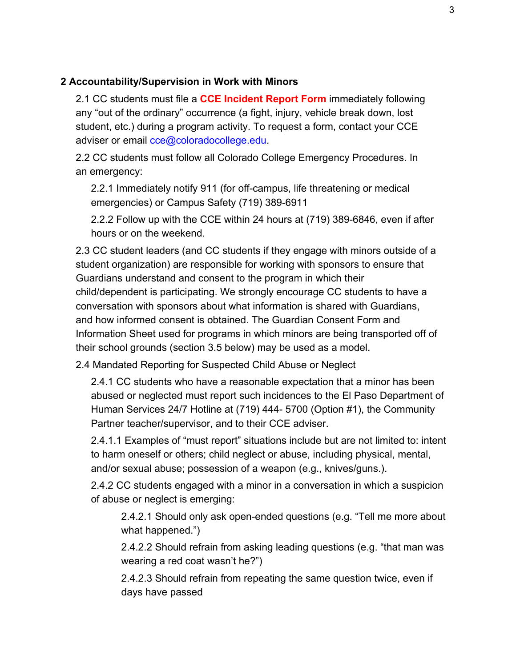#### **2 Accountability/Supervision in Work with Minors**

2.1 CC students must file a **CCE Incident Report Form** immediately following any "out of the ordinary" occurrence (a fight, injury, vehicle break down, lost student, etc.) during a program activity. To request a form, contact your CCE adviser or email cce@coloradocollege.edu.

2.2 CC students must follow all Colorado College Emergency Procedures. In an emergency:

2.2.1 Immediately notify 911 (for off-campus, life threatening or medical emergencies) or Campus Safety (719) 389-6911

2.2.2 Follow up with the CCE within 24 hours at (719) 389-6846, even if after hours or on the weekend.

2.3 CC student leaders (and CC students if they engage with minors outside of a student organization) are responsible for working with sponsors to ensure that Guardians understand and consent to the program in which their child/dependent is participating. We strongly encourage CC students to have a conversation with sponsors about what information is shared with Guardians, and how informed consent is obtained. The Guardian Consent Form and Information Sheet used for programs in which minors are being transported off of their school grounds (section 3.5 below) may be used as a model.

2.4 Mandated Reporting for Suspected Child Abuse or Neglect

2.4.1 CC students who have a reasonable expectation that a minor has been abused or neglected must report such incidences to the El Paso Department of Human Services 24/7 Hotline at (719) 444- 5700 (Option #1), the Community Partner teacher/supervisor, and to their CCE adviser.

2.4.1.1 Examples of "must report" situations include but are not limited to: intent to harm oneself or others; child neglect or abuse, including physical, mental, and/or sexual abuse; possession of a weapon (e.g., knives/guns.).

2.4.2 CC students engaged with a minor in a conversation in which a suspicion of abuse or neglect is emerging:

2.4.2.1 Should only ask open-ended questions (e.g. "Tell me more about what happened.")

2.4.2.2 Should refrain from asking leading questions (e.g. "that man was wearing a red coat wasn't he?")

2.4.2.3 Should refrain from repeating the same question twice, even if days have passed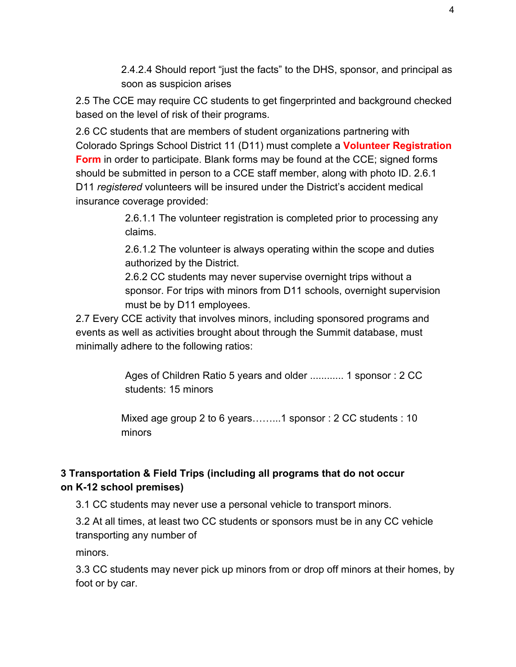2.4.2.4 Should report "just the facts" to the DHS, sponsor, and principal as soon as suspicion arises

2.5 The CCE may require CC students to get fingerprinted and background checked based on the level of risk of their programs.

2.6 CC students that are members of student organizations partnering with Colorado Springs School District 11 (D11) must complete a **Volunteer Registration Form** in order to participate. Blank forms may be found at the CCE; signed forms should be submitted in person to a CCE staff member, along with photo ID. 2.6.1 D11 *registered* volunteers will be insured under the District's accident medical insurance coverage provided:

> 2.6.1.1 The volunteer registration is completed prior to processing any claims.

2.6.1.2 The volunteer is always operating within the scope and duties authorized by the District.

2.6.2 CC students may never supervise overnight trips without a sponsor. For trips with minors from D11 schools, overnight supervision must be by D11 employees.

2.7 Every CCE activity that involves minors, including sponsored programs and events as well as activities brought about through the Summit database, must minimally adhere to the following ratios:

> Ages of Children Ratio 5 years and older ............ 1 sponsor : 2 CC students: 15 minors

Mixed age group 2 to 6 years……...1 sponsor : 2 CC students : 10 minors

## **3 Transportation & Field Trips (including all programs that do not occur on K-12 school premises)**

3.1 CC students may never use a personal vehicle to transport minors.

3.2 At all times, at least two CC students or sponsors must be in any CC vehicle transporting any number of

minors.

3.3 CC students may never pick up minors from or drop off minors at their homes, by foot or by car.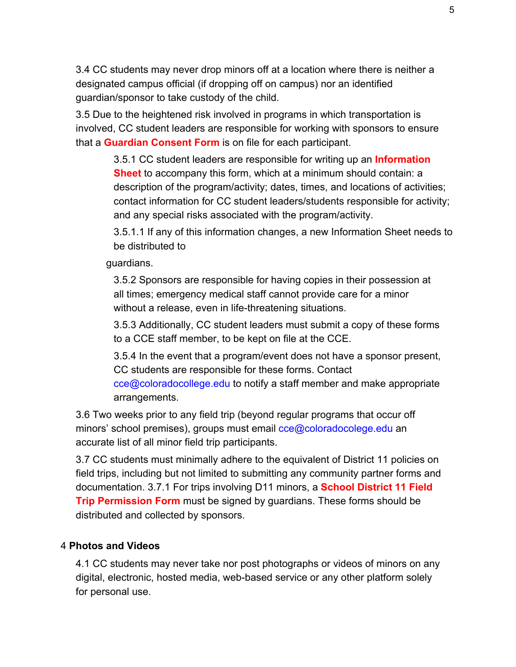3.4 CC students may never drop minors off at a location where there is neither a designated campus official (if dropping off on campus) nor an identified guardian/sponsor to take custody of the child.

3.5 Due to the heightened risk involved in programs in which transportation is involved, CC student leaders are responsible for working with sponsors to ensure that a **Guardian Consent Form** is on file for each participant.

> 3.5.1 CC student leaders are responsible for writing up an **Information Sheet** to accompany this form, which at a minimum should contain: a description of the program/activity; dates, times, and locations of activities; contact information for CC student leaders/students responsible for activity; and any special risks associated with the program/activity.

> 3.5.1.1 If any of this information changes, a new Information Sheet needs to be distributed to

guardians.

3.5.2 Sponsors are responsible for having copies in their possession at all times; emergency medical staff cannot provide care for a minor without a release, even in life-threatening situations.

3.5.3 Additionally, CC student leaders must submit a copy of these forms to a CCE staff member, to be kept on file at the CCE.

3.5.4 In the event that a program/event does not have a sponsor present, CC students are responsible for these forms. Contact cce@coloradocollege.edu to notify a staff member and make appropriate arrangements.

3.6 Two weeks prior to any field trip (beyond regular programs that occur off minors' school premises), groups must email cce@coloradocolege.edu an accurate list of all minor field trip participants.

3.7 CC students must minimally adhere to the equivalent of District 11 policies on field trips, including but not limited to submitting any community partner forms and documentation. 3.7.1 For trips involving D11 minors, a **School District 11 Field Trip Permission Form** must be signed by guardians. These forms should be distributed and collected by sponsors.

## 4 **Photos and Videos**

4.1 CC students may never take nor post photographs or videos of minors on any digital, electronic, hosted media, web-based service or any other platform solely for personal use.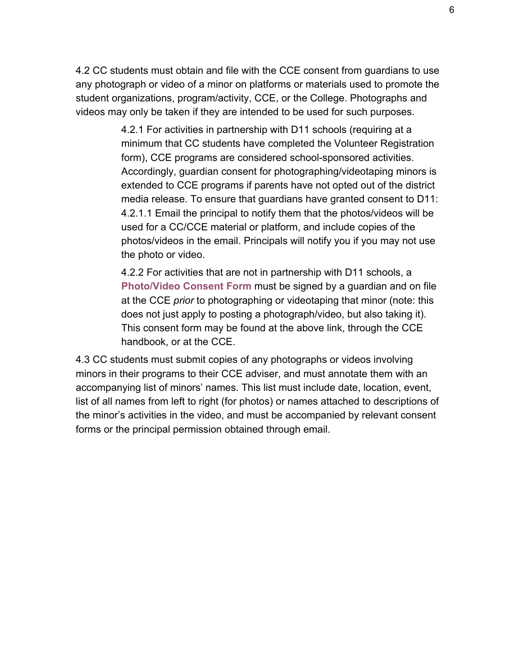4.2 CC students must obtain and file with the CCE consent from guardians to use any photograph or video of a minor on platforms or materials used to promote the student organizations, program/activity, CCE, or the College. Photographs and videos may only be taken if they are intended to be used for such purposes.

> 4.2.1 For activities in partnership with D11 schools (requiring at a minimum that CC students have completed the Volunteer Registration form), CCE programs are considered school-sponsored activities. Accordingly, guardian consent for photographing/videotaping minors is extended to CCE programs if parents have not opted out of the district media release. To ensure that guardians have granted consent to D11: 4.2.1.1 Email the principal to notify them that the photos/videos will be used for a CC/CCE material or platform, and include copies of the photos/videos in the email. Principals will notify you if you may not use the photo or video.

> 4.2.2 For activities that are not in partnership with D11 schools, a **Photo/Video Consent Form** must be signed by a guardian and on file at the CCE *prior* to photographing or videotaping that minor (note: this does not just apply to posting a photograph/video, but also taking it). This consent form may be found at the above link, through the CCE handbook, or at the CCE.

4.3 CC students must submit copies of any photographs or videos involving minors in their programs to their CCE adviser, and must annotate them with an accompanying list of minors' names. This list must include date, location, event, list of all names from left to right (for photos) or names attached to descriptions of the minor's activities in the video, and must be accompanied by relevant consent forms or the principal permission obtained through email.